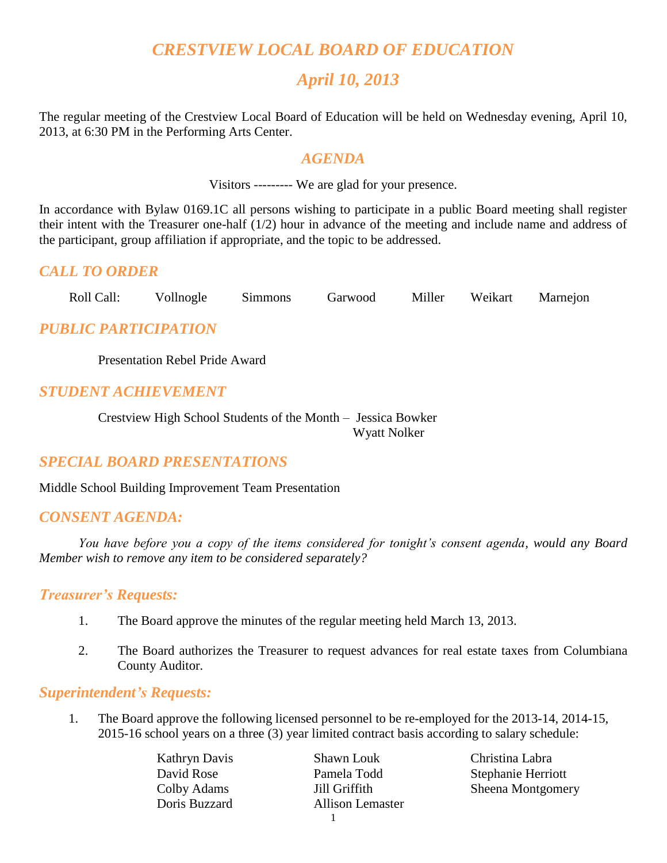# *CRESTVIEW LOCAL BOARD OF EDUCATION*

# *April 10, 2013*

The regular meeting of the Crestview Local Board of Education will be held on Wednesday evening, April 10, 2013, at 6:30 PM in the Performing Arts Center.

#### *AGENDA*

Visitors --------- We are glad for your presence.

In accordance with Bylaw 0169.1C all persons wishing to participate in a public Board meeting shall register their intent with the Treasurer one-half (1/2) hour in advance of the meeting and include name and address of the participant, group affiliation if appropriate, and the topic to be addressed.

## *CALL TO ORDER*

Roll Call: Vollnogle Simmons Garwood Miller Weikart Marnejon

# *PUBLIC PARTICIPATION*

Presentation Rebel Pride Award

#### *STUDENT ACHIEVEMENT*

Crestview High School Students of the Month – Jessica Bowker Wyatt Nolker

#### *SPECIAL BOARD PRESENTATIONS*

Middle School Building Improvement Team Presentation

#### *CONSENT AGENDA:*

*You have before you a copy of the items considered for tonight's consent agenda, would any Board Member wish to remove any item to be considered separately?*

#### *Treasurer's Requests:*

- 1. The Board approve the minutes of the regular meeting held March 13, 2013.
- 2. The Board authorizes the Treasurer to request advances for real estate taxes from Columbiana County Auditor.

#### *Superintendent's Requests:*

1. The Board approve the following licensed personnel to be re-employed for the 2013-14, 2014-15, 2015-16 school years on a three (3) year limited contract basis according to salary schedule:

Kathryn Davis Shawn Louk Christina Labra Doris Buzzard Allison Lemaster

David Rose Pamela Todd Stephanie Herriott Colby Adams **Jill Griffith** Sheena Montgomery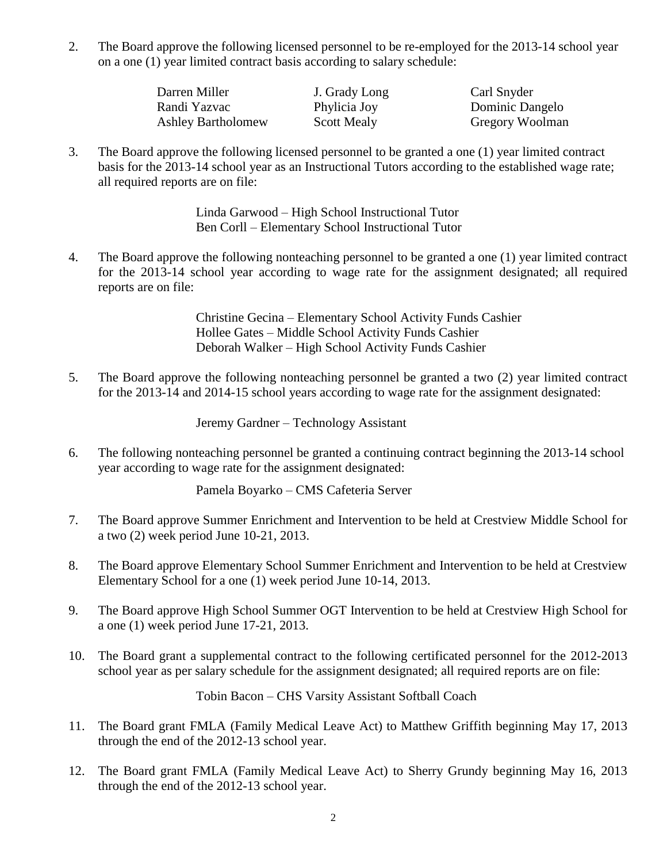2. The Board approve the following licensed personnel to be re-employed for the 2013-14 school year on a one (1) year limited contract basis according to salary schedule:

> Darren Miller **J. Grady Long** Carl Snyder Randi Yazvac Phylicia Joy Dominic Dangelo Ashley Bartholomew Scott Mealy Gregory Woolman

3. The Board approve the following licensed personnel to be granted a one (1) year limited contract basis for the 2013-14 school year as an Instructional Tutors according to the established wage rate; all required reports are on file:

> Linda Garwood – High School Instructional Tutor Ben Corll – Elementary School Instructional Tutor

4. The Board approve the following nonteaching personnel to be granted a one (1) year limited contract for the 2013-14 school year according to wage rate for the assignment designated; all required reports are on file:

> Christine Gecina – Elementary School Activity Funds Cashier Hollee Gates – Middle School Activity Funds Cashier Deborah Walker – High School Activity Funds Cashier

5. The Board approve the following nonteaching personnel be granted a two (2) year limited contract for the 2013-14 and 2014-15 school years according to wage rate for the assignment designated:

Jeremy Gardner – Technology Assistant

6. The following nonteaching personnel be granted a continuing contract beginning the 2013-14 school year according to wage rate for the assignment designated:

Pamela Boyarko – CMS Cafeteria Server

- 7. The Board approve Summer Enrichment and Intervention to be held at Crestview Middle School for a two (2) week period June 10-21, 2013.
- 8. The Board approve Elementary School Summer Enrichment and Intervention to be held at Crestview Elementary School for a one (1) week period June 10-14, 2013.
- 9. The Board approve High School Summer OGT Intervention to be held at Crestview High School for a one (1) week period June 17-21, 2013.
- 10. The Board grant a supplemental contract to the following certificated personnel for the 2012-2013 school year as per salary schedule for the assignment designated; all required reports are on file:

Tobin Bacon – CHS Varsity Assistant Softball Coach

- 11. The Board grant FMLA (Family Medical Leave Act) to Matthew Griffith beginning May 17, 2013 through the end of the 2012-13 school year.
- 12. The Board grant FMLA (Family Medical Leave Act) to Sherry Grundy beginning May 16, 2013 through the end of the 2012-13 school year.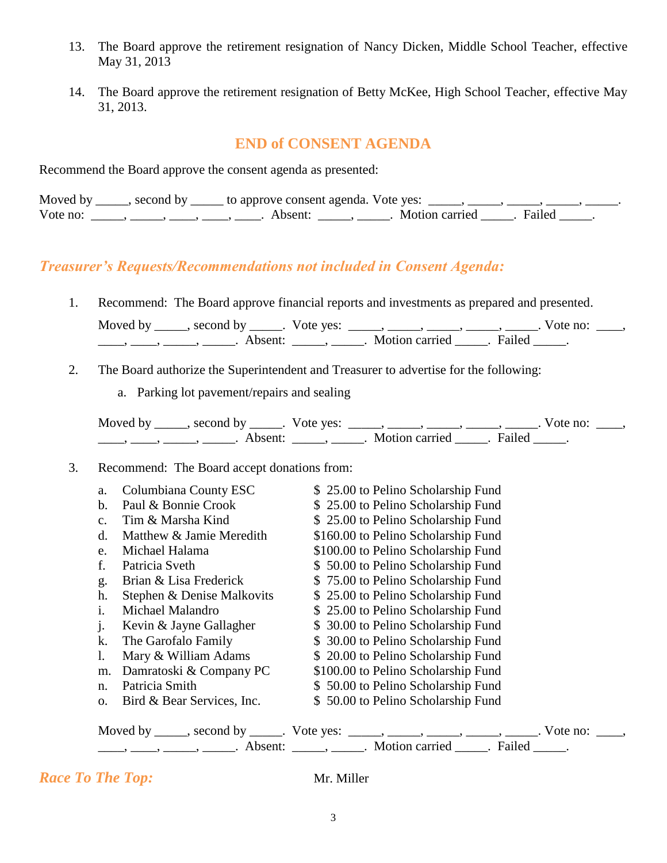- 13. The Board approve the retirement resignation of Nancy Dicken, Middle School Teacher, effective May 31, 2013
- 14. The Board approve the retirement resignation of Betty McKee, High School Teacher, effective May 31, 2013.

## **END of CONSENT AGENDA**

Recommend the Board approve the consent agenda as presented:

|          | Moved by ______, second by ______ to approve consent agenda. Vote yes: |                       |  |
|----------|------------------------------------------------------------------------|-----------------------|--|
| Vote no: | Absent:                                                                | Motion carried Failed |  |

## *Treasurer's Requests/Recommendations not included in Consent Agenda:*

1. Recommend: The Board approve financial reports and investments as prepared and presented.

| Moved by | second by | Vote yes: |                |        | ∕ote no: |
|----------|-----------|-----------|----------------|--------|----------|
|          |           |           | Motion carried | Failed |          |

- 2. The Board authorize the Superintendent and Treasurer to advertise for the following:
	- a. Parking lot pavement/repairs and sealing

| Moved by | second by           | Vote yes: |                |        | Vote no: |
|----------|---------------------|-----------|----------------|--------|----------|
|          | Absent <sup>.</sup> |           | Motion carried | Failed |          |

#### 3. Recommend: The Board accept donations from:

| a.             | Columbiana County ESC      | \$25.00 to Pelino Scholarship Fund                                                           |
|----------------|----------------------------|----------------------------------------------------------------------------------------------|
| b.             | Paul & Bonnie Crook        | \$25.00 to Pelino Scholarship Fund                                                           |
| $\mathbf{C}$ . | Tim & Marsha Kind          | \$25.00 to Pelino Scholarship Fund                                                           |
| $d$ .          | Matthew & Jamie Meredith   | \$160.00 to Pelino Scholarship Fund                                                          |
| e.             | Michael Halama             | \$100.00 to Pelino Scholarship Fund                                                          |
| f.             | Patricia Sveth             | \$50.00 to Pelino Scholarship Fund                                                           |
| g.             | Brian & Lisa Frederick     | \$75.00 to Pelino Scholarship Fund                                                           |
| h.             | Stephen & Denise Malkovits | \$25.00 to Pelino Scholarship Fund                                                           |
| 1.             | Michael Malandro           | \$25.00 to Pelino Scholarship Fund                                                           |
| $\cdot$        | Kevin & Jayne Gallagher    | \$30.00 to Pelino Scholarship Fund                                                           |
| k.             | The Garofalo Family        | \$ 30.00 to Pelino Scholarship Fund                                                          |
| I.             | Mary & William Adams       | \$20.00 to Pelino Scholarship Fund                                                           |
| m.             | Damratoski & Company PC    | \$100.00 to Pelino Scholarship Fund                                                          |
| n.             | Patricia Smith             | \$50.00 to Pelino Scholarship Fund                                                           |
| 0.             | Bird & Bear Services, Inc. | \$50.00 to Pelino Scholarship Fund                                                           |
|                |                            | Moved by _____, second by _____. Vote yes: _____, _____, _____, _____, _____. Vote no: ____, |
|                |                            |                                                                                              |

*Race To The Top:* Mr. Miller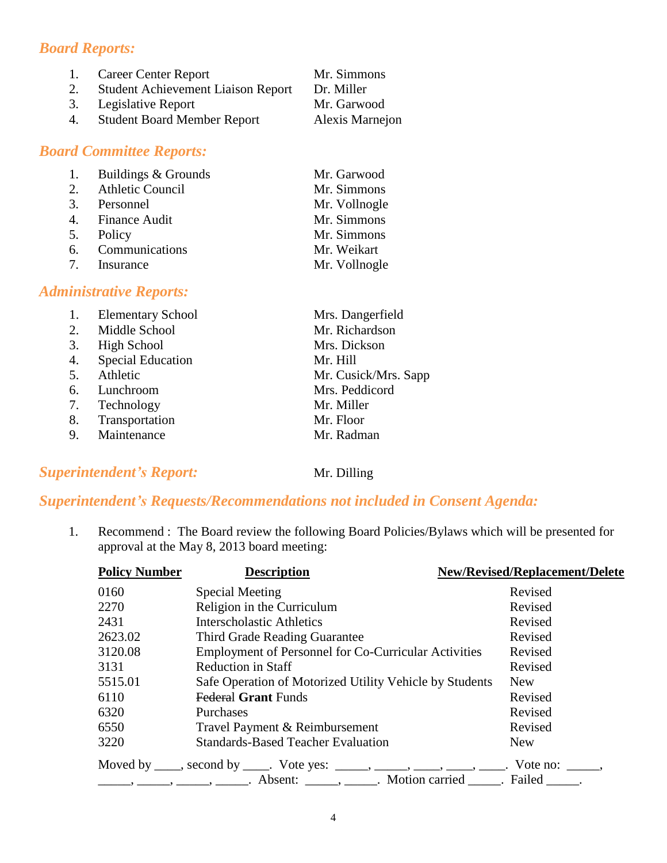## *Board Reports:*

| 1. | <b>Career Center Report</b>               | Mr. Simmons            |
|----|-------------------------------------------|------------------------|
| 2. | <b>Student Achievement Liaison Report</b> | Dr. Miller             |
| 3. | Legislative Report                        | Mr. Garwood            |
| 4. | <b>Student Board Member Report</b>        | <b>Alexis Marnejon</b> |
|    |                                           |                        |

#### *Board Committee Reports:*

| 1. | Buildings & Grounds | Mr. Garwood   |
|----|---------------------|---------------|
|    | 2. Athletic Council | Mr. Simmons   |
|    | 3. Personnel        | Mr. Vollnogle |
|    | 4. Finance Audit    | Mr. Simmons   |
|    | 5. Policy           | Mr. Simmons   |
|    | 6. Communications   | Mr. Weikart   |
|    | 7. Insurance        | Mr. Vollnogle |

## *Administrative Reports:*

| 1. | <b>Elementary School</b> | Mrs. Dangerfield     |
|----|--------------------------|----------------------|
| 2. | Middle School            | Mr. Richardson       |
| 3. | <b>High School</b>       | Mrs. Dickson         |
| 4. | <b>Special Education</b> | Mr. Hill             |
| 5. | Athletic                 | Mr. Cusick/Mrs. Sapp |
| 6. | Lunchroom                | Mrs. Peddicord       |
| 7. | Technology               | Mr. Miller           |
| 8. | Transportation           | Mr. Floor            |
|    | 9. Maintenance           | Mr. Radman           |
|    |                          |                      |

## **Superintendent's Report:** Mr. Dilling

# *Superintendent's Requests/Recommendations not included in Consent Agenda:*

1. Recommend : The Board review the following Board Policies/Bylaws which will be presented for approval at the May 8, 2013 board meeting:

| <b>Policy Number</b> | <b>Description</b>                                                                                                                                                                                                                                                                                                                                                                                                                                                                                                     | <b>New/Revised/Replacement/Delete</b> |
|----------------------|------------------------------------------------------------------------------------------------------------------------------------------------------------------------------------------------------------------------------------------------------------------------------------------------------------------------------------------------------------------------------------------------------------------------------------------------------------------------------------------------------------------------|---------------------------------------|
| 0160                 | Special Meeting                                                                                                                                                                                                                                                                                                                                                                                                                                                                                                        | Revised                               |
| 2270                 | Religion in the Curriculum                                                                                                                                                                                                                                                                                                                                                                                                                                                                                             | Revised                               |
| 2431                 | Interscholastic Athletics                                                                                                                                                                                                                                                                                                                                                                                                                                                                                              | Revised                               |
| 2623.02              | Third Grade Reading Guarantee                                                                                                                                                                                                                                                                                                                                                                                                                                                                                          | Revised                               |
| 3120.08              | <b>Employment of Personnel for Co-Curricular Activities</b>                                                                                                                                                                                                                                                                                                                                                                                                                                                            | Revised                               |
| 3131                 | <b>Reduction in Staff</b>                                                                                                                                                                                                                                                                                                                                                                                                                                                                                              | Revised                               |
| 5515.01              | Safe Operation of Motorized Utility Vehicle by Students                                                                                                                                                                                                                                                                                                                                                                                                                                                                | <b>New</b>                            |
| 6110                 | <b>Federal Grant Funds</b>                                                                                                                                                                                                                                                                                                                                                                                                                                                                                             | Revised                               |
| 6320                 | Purchases                                                                                                                                                                                                                                                                                                                                                                                                                                                                                                              | Revised                               |
| 6550                 | Travel Payment & Reimbursement                                                                                                                                                                                                                                                                                                                                                                                                                                                                                         | Revised                               |
| 3220                 | <b>Standards-Based Teacher Evaluation</b>                                                                                                                                                                                                                                                                                                                                                                                                                                                                              | <b>New</b>                            |
|                      | Moved by ____, second by ____. Vote yes: _____, ____, ____, ____, ____. Vote no: _____,<br>$\frac{1}{1}, \frac{1}{1}, \frac{1}{1}, \frac{1}{1}, \frac{1}{1}, \frac{1}{1}, \frac{1}{1}, \frac{1}{1}, \frac{1}{1}, \frac{1}{1}, \frac{1}{1}, \frac{1}{1}, \frac{1}{1}, \frac{1}{1}, \frac{1}{1}, \frac{1}{1}, \frac{1}{1}, \frac{1}{1}, \frac{1}{1}, \frac{1}{1}, \frac{1}{1}, \frac{1}{1}, \frac{1}{1}, \frac{1}{1}, \frac{1}{1}, \frac{1}{1}, \frac{1}{1}, \frac{1}{1}, \frac{1}{1}, \frac{1}{1}, \frac{1}{1}, \frac{$ |                                       |